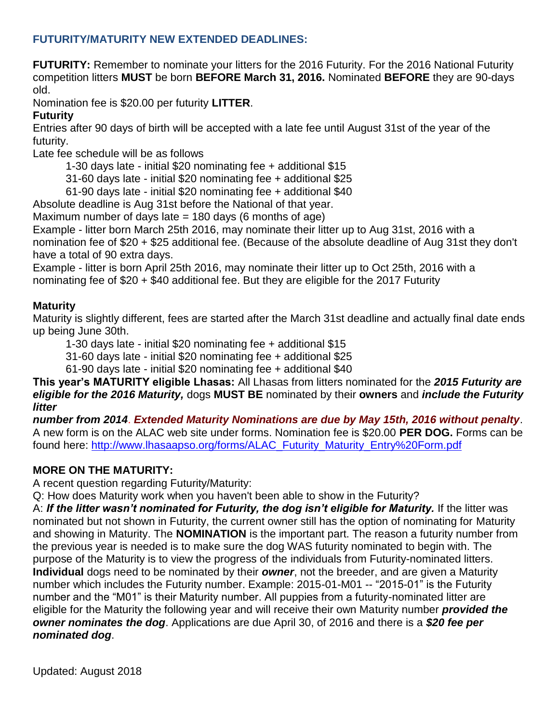## **FUTURITY/MATURITY NEW EXTENDED DEADLINES:**

**FUTURITY:** Remember to nominate your litters for the 2016 Futurity. For the 2016 National Futurity competition litters **MUST** be born **BEFORE March 31, 2016.** Nominated **BEFORE** they are 90-days old.

Nomination fee is \$20.00 per futurity **LITTER**.

## **Futurity**

Entries after 90 days of birth will be accepted with a late fee until August 31st of the year of the futurity.

Late fee schedule will be as follows

1-30 days late - initial \$20 nominating fee + additional \$15

31-60 days late - initial \$20 nominating fee + additional \$25

61-90 days late - initial \$20 nominating fee + additional \$40

Absolute deadline is Aug 31st before the National of that year.

Maximum number of days late  $= 180$  days (6 months of age)

Example - litter born March 25th 2016, may nominate their litter up to Aug 31st, 2016 with a nomination fee of \$20 + \$25 additional fee. (Because of the absolute deadline of Aug 31st they don't have a total of 90 extra days.

Example - litter is born April 25th 2016, may nominate their litter up to Oct 25th, 2016 with a nominating fee of \$20 + \$40 additional fee. But they are eligible for the 2017 Futurity

## **Maturity**

Maturity is slightly different, fees are started after the March 31st deadline and actually final date ends up being June 30th.

1-30 days late - initial \$20 nominating fee + additional \$15

31-60 days late - initial \$20 nominating fee + additional \$25

61-90 days late - initial \$20 nominating fee + additional \$40

**This year's MATURITY eligible Lhasas:** All Lhasas from litters nominated for the *2015 Futurity are eligible for the 2016 Maturity,* dogs **MUST BE** nominated by their **owners** and *include the Futurity litter*

*number from 2014*. *Extended Maturity Nominations are due by May 15th, 2016 without penalty*. A new form is on the ALAC web site under forms. Nomination fee is \$20.00 **PER DOG.** Forms can be found here: [http://www.lhasaapso.org/forms/ALAC\\_Futurity\\_Maturity\\_Entry%20Form.pdf](http://www.lhasaapso.org/forms/ALAC_Futurity_Maturity_Entry%20Form.pdf)

## **MORE ON THE MATURITY:**

A recent question regarding Futurity/Maturity:

Q: How does Maturity work when you haven't been able to show in the Futurity?

A: If the litter wasn't nominated for Futurity, the dog isn't eligible for Maturity. If the litter was nominated but not shown in Futurity, the current owner still has the option of nominating for Maturity and showing in Maturity. The **NOMINATION** is the important part. The reason a futurity number from the previous year is needed is to make sure the dog WAS futurity nominated to begin with. The purpose of the Maturity is to view the progress of the individuals from Futurity-nominated litters. **Individual** dogs need to be nominated by their *owner*, not the breeder, and are given a Maturity number which includes the Futurity number. Example: 2015-01-M01 -- "2015-01" is the Futurity number and the "M01" is their Maturity number. All puppies from a futurity-nominated litter are eligible for the Maturity the following year and will receive their own Maturity number *provided the owner nominates the dog*. Applications are due April 30, of 2016 and there is a *\$20 fee per nominated dog*.